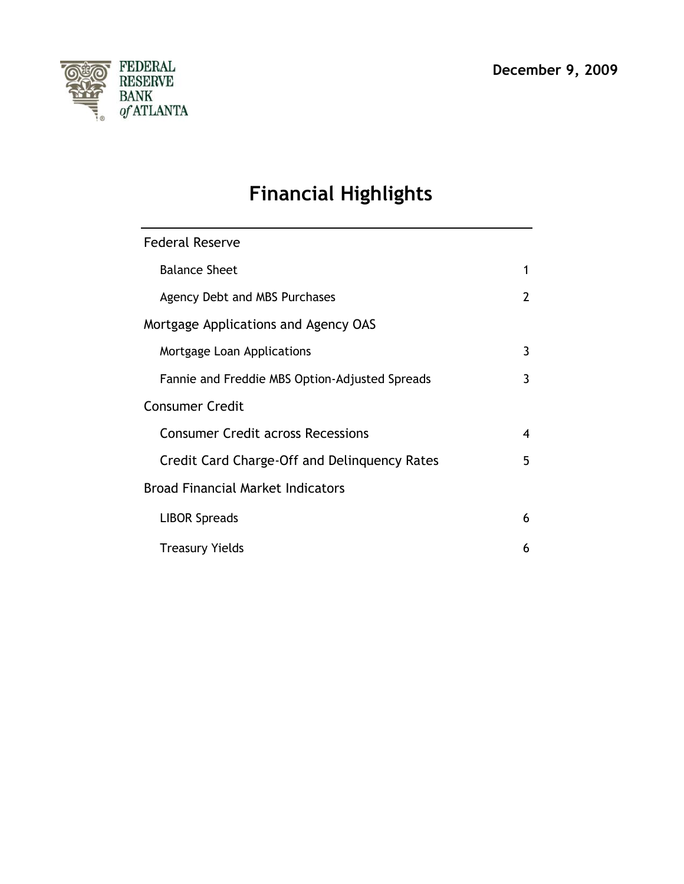

# **Financial Highlights**

| <b>Federal Reserve</b>                         |                |
|------------------------------------------------|----------------|
| <b>Balance Sheet</b>                           | 1              |
| Agency Debt and MBS Purchases                  | $\overline{2}$ |
| Mortgage Applications and Agency OAS           |                |
| Mortgage Loan Applications                     | 3              |
| Fannie and Freddie MBS Option-Adjusted Spreads | 3              |
| <b>Consumer Credit</b>                         |                |
| <b>Consumer Credit across Recessions</b>       | 4              |
| Credit Card Charge-Off and Delinguency Rates   | 5              |
| <b>Broad Financial Market Indicators</b>       |                |
| <b>LIBOR Spreads</b>                           | 6              |
| <b>Treasury Yields</b>                         | 6              |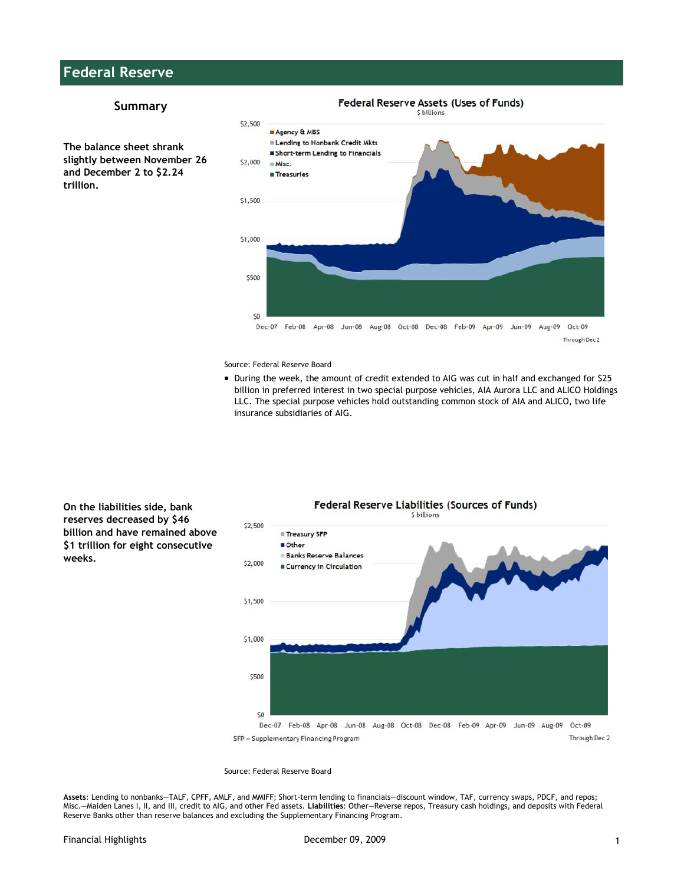# **Federal Reserve**

#### **Summary**

**The balance sheet shrank slightly between November 26 and December 2 to \$2.24 trillion.**



Source: [Federal Reserve Board](http://federalreserve.gov/releases/h41/Current/)

During the week, the amount of credit extended to AIG was cut in half and exchanged for \$25 billion in preferred interest in two special purpose vehicles, AIA Aurora LLC and ALICO Holdings LLC. The special purpose vehicles hold outstanding common stock of AIA and ALICO, two life insurance subsidiaries of AIG.

**On the liabilities side, bank reserves decreased by \$46 billion and have remained above \$1 trillion for eight consecutive weeks.**



#### Source: [Federal Reserve Board](http://federalreserve.gov/releases/h41/Current/)

**Assets**: Lending to nonbanks—TALF, CPFF, AMLF, and MMIFF; Short-term lending to financials—discount window, TAF, currency swaps, PDCF, and repos; Misc.—Maiden Lanes I, II, and III, credit to AIG, and other Fed assets. **Liabilities**: Other—Reverse repos, Treasury cash holdings, and deposits with Federal Reserve Banks other than reserve balances and excluding the Supplementary Financing Program.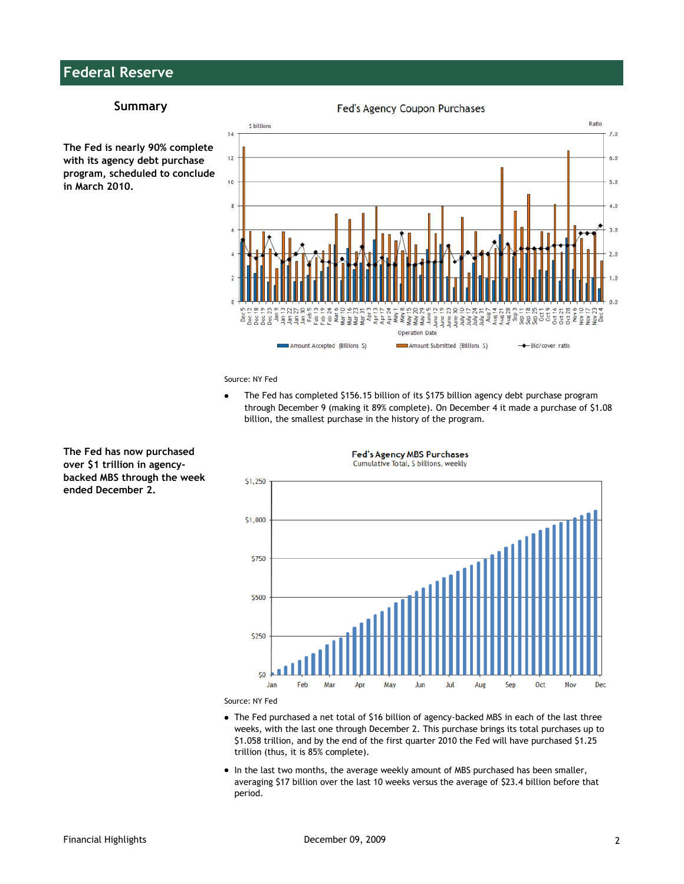# **Federal Reserve**

#### **Summary**





Fed's Agency Coupon Purchases

Source: NY Fed

 $\bullet$ The Fed has completed \$156.15 billion of its \$175 billion agency debt purchase program through December 9 (making it 89% complete). On December 4 it made a purchase of \$1.08 billion, the smallest purchase in the history of the program.

**Fed's Agency MBS Purchases** 



**The Fed has now purchased over \$1 trillion in agencybacked MBS through the week ended December 2.**



- The Fed purchased a net total of \$16 billion of agency-backed MBS in each of the last three weeks, with the last one through December 2. This purchase brings its total purchases up to \$1.058 trillion, and by the end of the first quarter 2010 the Fed will have purchased \$1.25 trillion (thus, it is 85% complete).
- In the last two months, the average weekly amount of MBS purchased has been smaller, averaging \$17 billion over the last 10 weeks versus the average of \$23.4 billion before that period.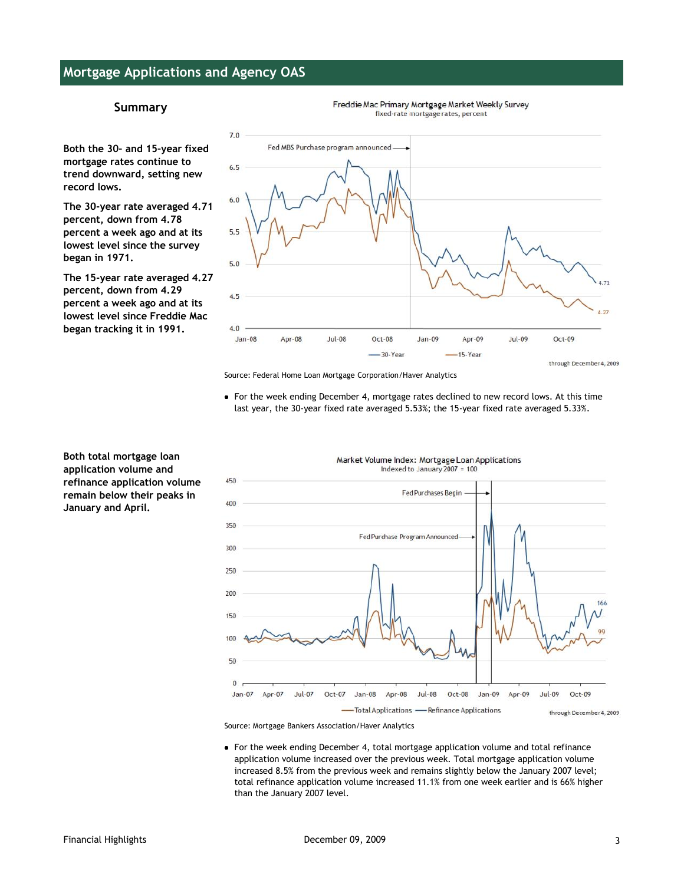### **Mortgage Applications and Agency OAS**

### **Summary**

**Both the 30– and 15–year fixed mortgage rates continue to trend downward, setting new record lows.**

**The 30-year rate averaged 4.71 percent, down from 4.78 percent a week ago and at its lowest level since the survey began in 1971.**

**The 15-year rate averaged 4.27 percent, down from 4.29 percent a week ago and at its lowest level since Freddie Mac began tracking it in 1991.**



Freddie Mac Primary Mortgage Market Weekly Survey

Source: Federal Home Loan Mortgage Corporation/Haver Analytics

For the week ending December 4, mortgage rates declined to new record lows. At this time last year, the 30-year fixed rate averaged 5.53%; the 15-year fixed rate averaged 5.33%.



Market Volume Index: Mortgage Loan Applications

Source: Mortgage Bankers Association/Haver Analytics

For the week ending December 4, total mortgage application volume and total refinance application volume increased over the previous week. Total mortgage application volume increased 8.5% from the previous week and remains slightly below the January 2007 level; total refinance application volume increased 11.1% from one week earlier and is 66% higher than the January 2007 level.

**application volume and refinance application volume remain below their peaks in January and April.**

**Both total mortgage loan**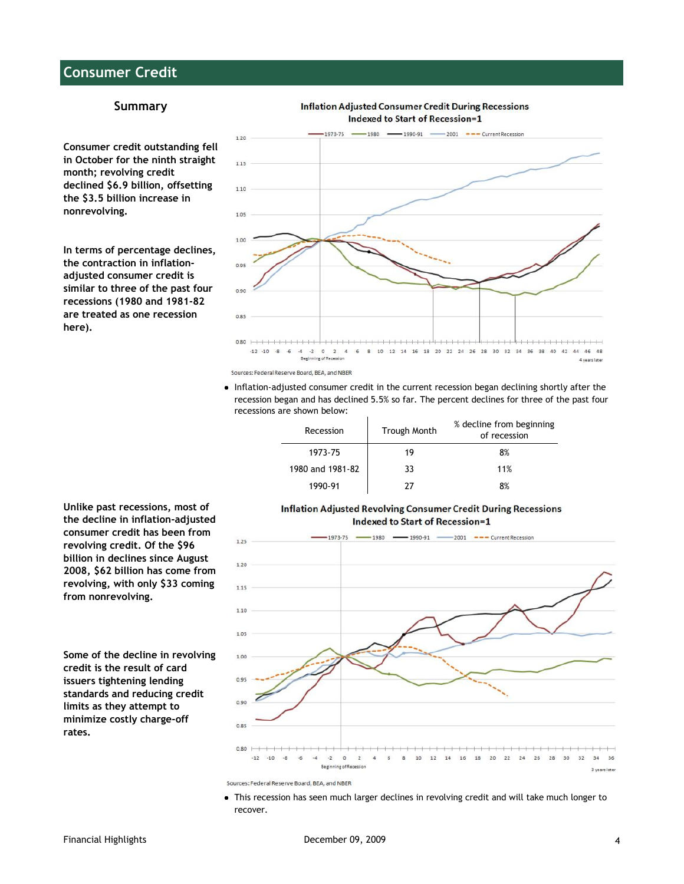### **Consumer Credit**

### **Summary**

**Consumer credit outstanding fell in October for the ninth straight month; revolving credit declined \$6.9 billion, offsetting the \$3.5 billion increase in nonrevolving.**

**In terms of percentage declines, the contraction in inflationadjusted consumer credit is similar to three of the past four recessions (1980 and 1981-82 are treated as one recession here).**



Inflation-adjusted consumer credit in the current recession began declining shortly after the recession began and has declined 5.5% so far. The percent declines for three of the past four recessions are shown below:

| Recession        | <b>Trough Month</b> | % decline from beginning<br>of recession |
|------------------|---------------------|------------------------------------------|
| 1973-75          | 19                  | 8%                                       |
| 1980 and 1981-82 | 33                  | 11%                                      |
| 1990-91          |                     | 8%                                       |

#### **Inflation Adjusted Revolving Consumer Credit During Recessions Indexed to Start of Recession=1**



**Unlike past recessions, most of the decline in inflation-adjusted consumer credit has been from revolving credit. Of the \$96 billion in declines since August 2008, \$62 billion has come from revolving, with only \$33 coming from nonrevolving.**

**Some of the decline in revolving credit is the result of card issuers tightening lending standards and reducing credit limits as they attempt to minimize costly charge-off rates.**

This recession has seen much larger declines in revolving credit and will take much longer to recover.

Sources: Federal Reserve Board, BEA, and NBER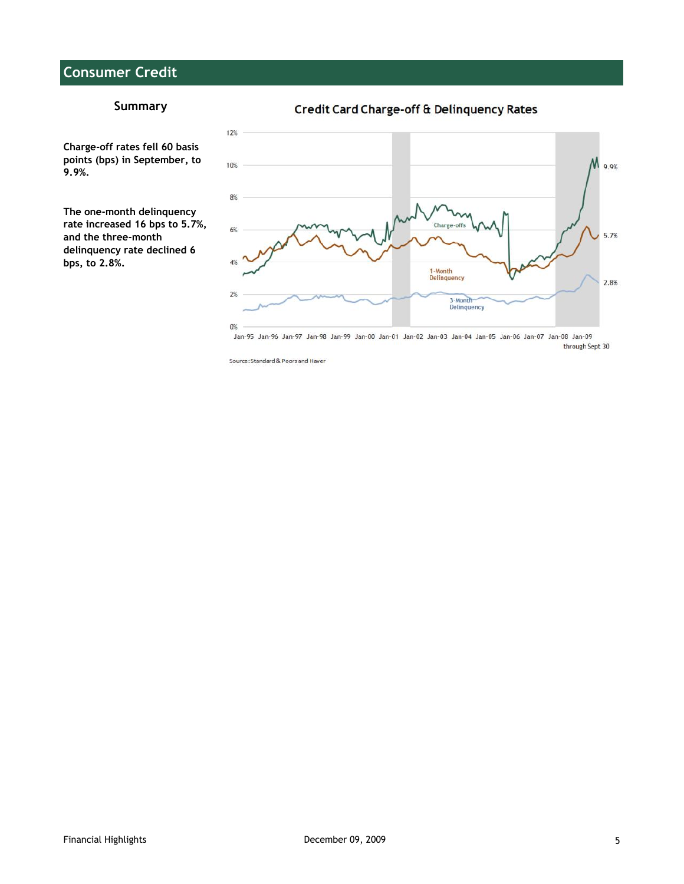# **Consumer Credit**

### **Summary**

Credit Card Charge-off & Delinquency Rates

**Charge-off rates fell 60 basis points (bps) in September, to 9.9%.**

**The one-month delinquency rate increased 16 bps to 5.7%, and the three-month delinquency rate declined 6 bps, to 2.8%.**



Jan-95 Jan-96 Jan-97 Jan-98 Jan-99 Jan-00 Jan-01 Jan-02 Jan-03 Jan-04 Jan-05 Jan-06 Jan-07 Jan-08 Jan-09 through Sept 30

Source: Standard & Poors and Haver